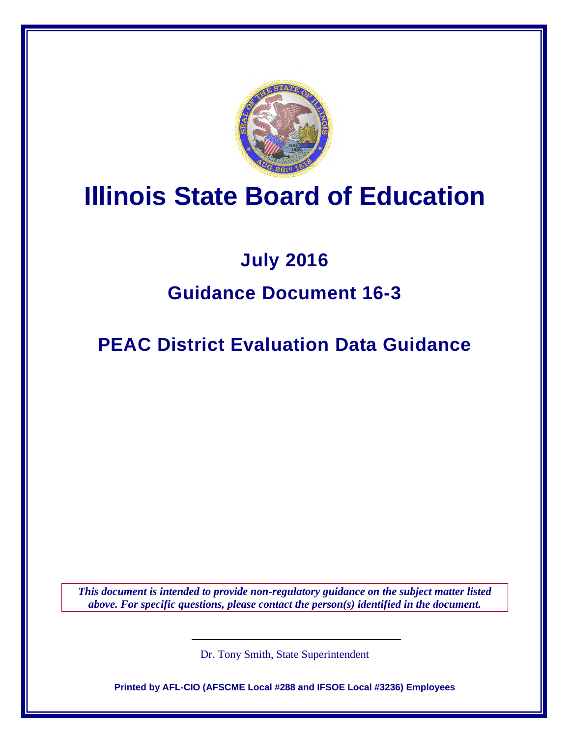

# **Illinois State Board of Education**

## **July 2016 Guidance Document 16-3**

**PEAC District Evaluation Data Guidance**

*This document is intended to provide non-regulatory guidance on the subject matter listed above. For specific questions, please contact the person(s) identified in the document.*

Dr. Tony Smith, State Superintendent

**Printed by AFL-CIO (AFSCME Local #288 and IFSOE Local #3236) Employees**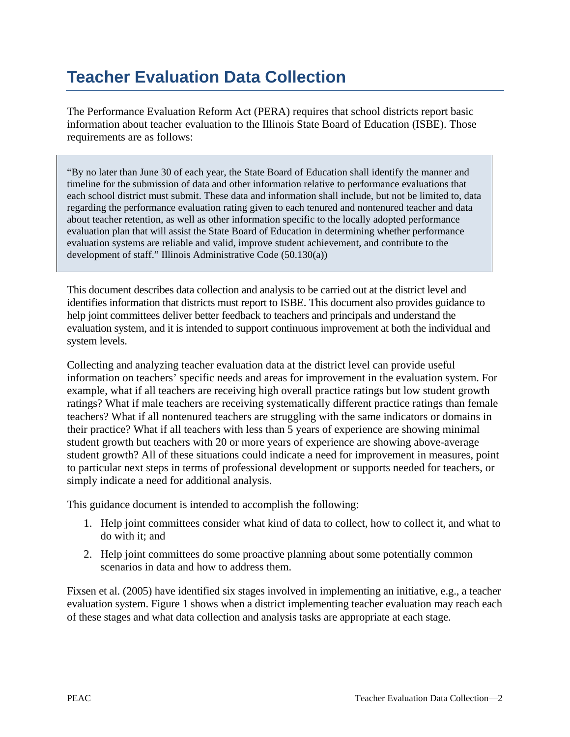## **Teacher Evaluation Data Collection**

The Performance Evaluation Reform Act (PERA) requires that school districts report basic information about teacher evaluation to the Illinois State Board of Education (ISBE). Those requirements are as follows:

"By no later than June 30 of each year, the State Board of Education shall identify the manner and timeline for the submission of data and other information relative to performance evaluations that each school district must submit. These data and information shall include, but not be limited to, data regarding the performance evaluation rating given to each tenured and nontenured teacher and data about teacher retention, as well as other information specific to the locally adopted performance evaluation plan that will assist the State Board of Education in determining whether performance evaluation systems are reliable and valid, improve student achievement, and contribute to the development of staff." Illinois Administrative Code (50.130(a))

This document describes data collection and analysis to be carried out at the district level and identifies information that districts must report to ISBE. This document also provides guidance to help joint committees deliver better feedback to teachers and principals and understand the evaluation system, and it is intended to support continuous improvement at both the individual and system levels.

Collecting and analyzing teacher evaluation data at the district level can provide useful information on teachers' specific needs and areas for improvement in the evaluation system. For example, what if all teachers are receiving high overall practice ratings but low student growth ratings? What if male teachers are receiving systematically different practice ratings than female teachers? What if all nontenured teachers are struggling with the same indicators or domains in their practice? What if all teachers with less than 5 years of experience are showing minimal student growth but teachers with 20 or more years of experience are showing above-average student growth? All of these situations could indicate a need for improvement in measures, point to particular next steps in terms of professional development or supports needed for teachers, or simply indicate a need for additional analysis.

This guidance document is intended to accomplish the following:

- 1. Help joint committees consider what kind of data to collect, how to collect it, and what to do with it; and
- 2. Help joint committees do some proactive planning about some potentially common scenarios in data and how to address them.

Fixsen et al. (2005) have identified six stages involved in implementing an initiative, e.g., a teacher evaluation system. Figure 1 shows when a district implementing teacher evaluation may reach each of these stages and what data collection and analysis tasks are appropriate at each stage.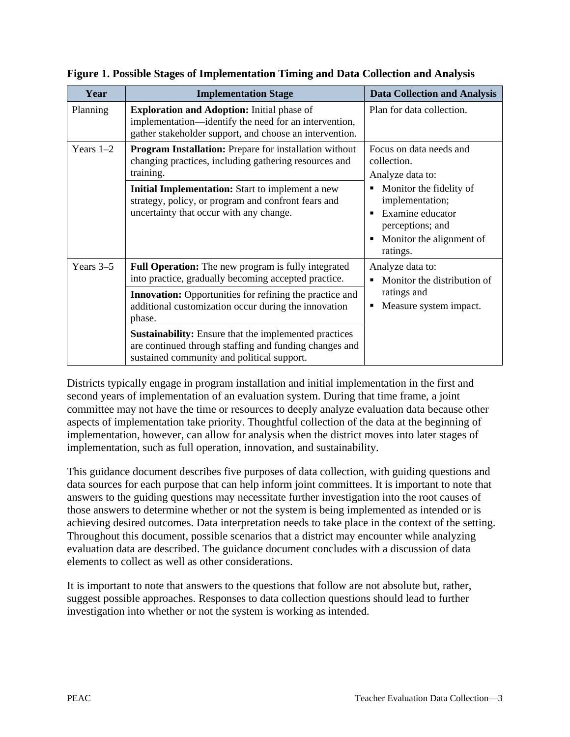| Year        | <b>Implementation Stage</b>                                                                                                                                           | <b>Data Collection and Analysis</b>                                                                                                                                                           |
|-------------|-----------------------------------------------------------------------------------------------------------------------------------------------------------------------|-----------------------------------------------------------------------------------------------------------------------------------------------------------------------------------------------|
| Planning    | <b>Exploration and Adoption:</b> Initial phase of<br>implementation—identify the need for an intervention,<br>gather stakeholder support, and choose an intervention. | Plan for data collection.                                                                                                                                                                     |
| Years $1-2$ | <b>Program Installation:</b> Prepare for installation without<br>changing practices, including gathering resources and<br>training.                                   | Focus on data needs and<br>collection.<br>Analyze data to:<br>Monitor the fidelity of<br>٠<br>implementation;<br>Examine educator<br>perceptions; and<br>Monitor the alignment of<br>ratings. |
|             | Initial Implementation: Start to implement a new<br>strategy, policy, or program and confront fears and<br>uncertainty that occur with any change.                    |                                                                                                                                                                                               |
| Years $3-5$ | <b>Full Operation:</b> The new program is fully integrated<br>into practice, gradually becoming accepted practice.                                                    | Analyze data to:<br>Monitor the distribution of<br>ratings and<br>Measure system impact.                                                                                                      |
|             | <b>Innovation:</b> Opportunities for refining the practice and<br>additional customization occur during the innovation<br>phase.                                      |                                                                                                                                                                                               |
|             | <b>Sustainability:</b> Ensure that the implemented practices<br>are continued through staffing and funding changes and<br>sustained community and political support.  |                                                                                                                                                                                               |

**Figure 1. Possible Stages of Implementation Timing and Data Collection and Analysis**

Districts typically engage in program installation and initial implementation in the first and second years of implementation of an evaluation system. During that time frame, a joint committee may not have the time or resources to deeply analyze evaluation data because other aspects of implementation take priority. Thoughtful collection of the data at the beginning of implementation, however, can allow for analysis when the district moves into later stages of implementation, such as full operation, innovation, and sustainability.

This guidance document describes five purposes of data collection, with guiding questions and data sources for each purpose that can help inform joint committees. It is important to note that answers to the guiding questions may necessitate further investigation into the root causes of those answers to determine whether or not the system is being implemented as intended or is achieving desired outcomes. Data interpretation needs to take place in the context of the setting. Throughout this document, possible scenarios that a district may encounter while analyzing evaluation data are described. The guidance document concludes with a discussion of data elements to collect as well as other considerations.

It is important to note that answers to the questions that follow are not absolute but, rather, suggest possible approaches. Responses to data collection questions should lead to further investigation into whether or not the system is working as intended.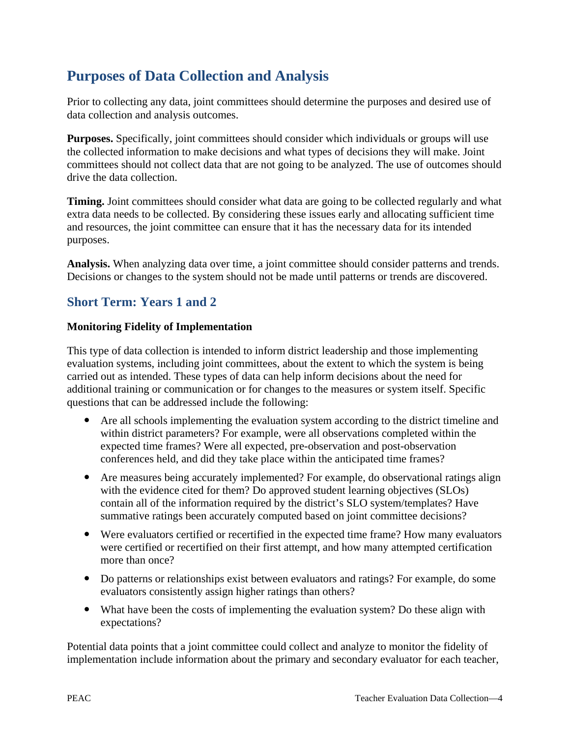## **Purposes of Data Collection and Analysis**

Prior to collecting any data, joint committees should determine the purposes and desired use of data collection and analysis outcomes.

**Purposes.** Specifically, joint committees should consider which individuals or groups will use the collected information to make decisions and what types of decisions they will make. Joint committees should not collect data that are not going to be analyzed. The use of outcomes should drive the data collection.

**Timing.** Joint committees should consider what data are going to be collected regularly and what extra data needs to be collected. By considering these issues early and allocating sufficient time and resources, the joint committee can ensure that it has the necessary data for its intended purposes.

**Analysis.** When analyzing data over time, a joint committee should consider patterns and trends. Decisions or changes to the system should not be made until patterns or trends are discovered.

### **Short Term: Years 1 and 2**

#### **Monitoring Fidelity of Implementation**

This type of data collection is intended to inform district leadership and those implementing evaluation systems, including joint committees, about the extent to which the system is being carried out as intended. These types of data can help inform decisions about the need for additional training or communication or for changes to the measures or system itself. Specific questions that can be addressed include the following:

- Are all schools implementing the evaluation system according to the district timeline and within district parameters? For example, were all observations completed within the expected time frames? Were all expected, pre-observation and post-observation conferences held, and did they take place within the anticipated time frames?
- Are measures being accurately implemented? For example, do observational ratings align with the evidence cited for them? Do approved student learning objectives (SLOs) contain all of the information required by the district's SLO system/templates? Have summative ratings been accurately computed based on joint committee decisions?
- Were evaluators certified or recertified in the expected time frame? How many evaluators were certified or recertified on their first attempt, and how many attempted certification more than once?
- Do patterns or relationships exist between evaluators and ratings? For example, do some evaluators consistently assign higher ratings than others?
- What have been the costs of implementing the evaluation system? Do these align with expectations?

Potential data points that a joint committee could collect and analyze to monitor the fidelity of implementation include information about the primary and secondary evaluator for each teacher,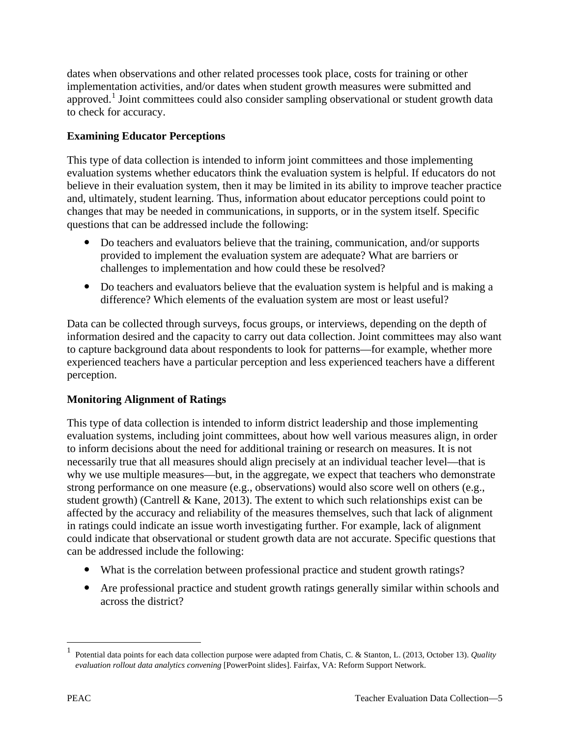dates when observations and other related processes took place, costs for training or other implementation activities, and/or dates when student growth measures were submitted and approved.<sup>[1](#page-4-0)</sup> Joint committees could also consider sampling observational or student growth data to check for accuracy.

#### **Examining Educator Perceptions**

This type of data collection is intended to inform joint committees and those implementing evaluation systems whether educators think the evaluation system is helpful. If educators do not believe in their evaluation system, then it may be limited in its ability to improve teacher practice and, ultimately, student learning. Thus, information about educator perceptions could point to changes that may be needed in communications, in supports, or in the system itself. Specific questions that can be addressed include the following:

- Do teachers and evaluators believe that the training, communication, and/or supports provided to implement the evaluation system are adequate? What are barriers or challenges to implementation and how could these be resolved?
- Do teachers and evaluators believe that the evaluation system is helpful and is making a difference? Which elements of the evaluation system are most or least useful?

Data can be collected through surveys, focus groups, or interviews, depending on the depth of information desired and the capacity to carry out data collection. Joint committees may also want to capture background data about respondents to look for patterns—for example, whether more experienced teachers have a particular perception and less experienced teachers have a different perception.

#### **Monitoring Alignment of Ratings**

This type of data collection is intended to inform district leadership and those implementing evaluation systems, including joint committees, about how well various measures align, in order to inform decisions about the need for additional training or research on measures. It is not necessarily true that all measures should align precisely at an individual teacher level—that is why we use multiple measures—but, in the aggregate, we expect that teachers who demonstrate strong performance on one measure (e.g., observations) would also score well on others (e.g., student growth) (Cantrell & Kane, 2013). The extent to which such relationships exist can be affected by the accuracy and reliability of the measures themselves, such that lack of alignment in ratings could indicate an issue worth investigating further. For example, lack of alignment could indicate that observational or student growth data are not accurate. Specific questions that can be addressed include the following:

- What is the correlation between professional practice and student growth ratings?
- Are professional practice and student growth ratings generally similar within schools and across the district?

 $\overline{a}$ 

<span id="page-4-0"></span><sup>1</sup> Potential data points for each data collection purpose were adapted from Chatis, C. & Stanton, L. (2013, October 13). *Quality evaluation rollout data analytics convening* [PowerPoint slides]. Fairfax, VA: Reform Support Network.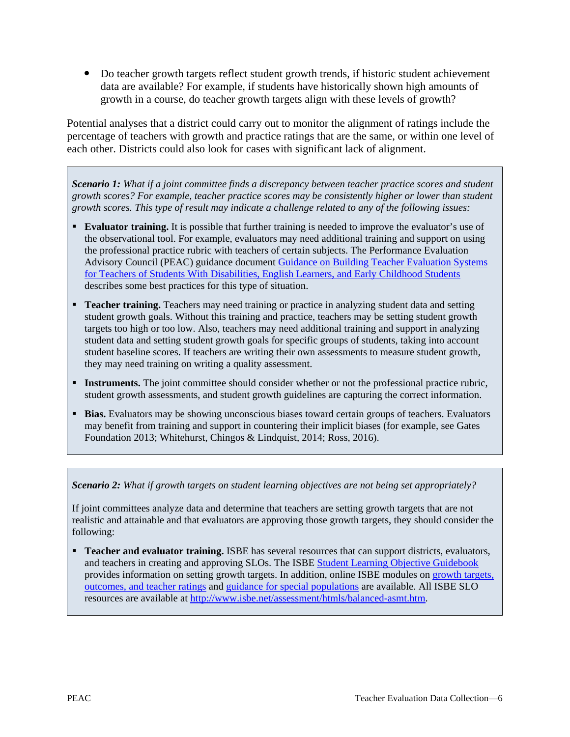• Do teacher growth targets reflect student growth trends, if historic student achievement data are available? For example, if students have historically shown high amounts of growth in a course, do teacher growth targets align with these levels of growth?

Potential analyses that a district could carry out to monitor the alignment of ratings include the percentage of teachers with growth and practice ratings that are the same, or within one level of each other. Districts could also look for cases with significant lack of alignment.

*Scenario 1: What if a joint committee finds a discrepancy between teacher practice scores and student growth scores? For example, teacher practice scores may be consistently higher or lower than student growth scores. This type of result may indicate a challenge related to any of the following issues:*

- **Evaluator training.** It is possible that further training is needed to improve the evaluator's use of the observational tool. For example, evaluators may need additional training and support on using the professional practice rubric with teachers of certain subjects. The Performance Evaluation Advisory Council (PEAC) guidance document [Guidance on Building Teacher Evaluation Systems](http://www.isbe.net/PEAC/pdf/guidance/14-3-teacher-eval-sped-ell-preschool.pdf)  [for Teachers of Students With Disabilities, English Learners, and Early Childhood Students](http://www.isbe.net/PEAC/pdf/guidance/14-3-teacher-eval-sped-ell-preschool.pdf) describes some best practices for this type of situation.
- **Teacher training.** Teachers may need training or practice in analyzing student data and setting student growth goals. Without this training and practice, teachers may be setting student growth targets too high or too low. Also, teachers may need additional training and support in analyzing student data and setting student growth goals for specific groups of students, taking into account student baseline scores. If teachers are writing their own assessments to measure student growth, they may need training on writing a quality assessment.
- **Instruments.** The joint committee should consider whether or not the professional practice rubric, student growth assessments, and student growth guidelines are capturing the correct information.
- **Bias.** Evaluators may be showing unconscious biases toward certain groups of teachers. Evaluators may benefit from training and support in countering their implicit biases (for example, see Gates Foundation 2013; Whitehurst, Chingos & Lindquist, 2014; Ross, 2016).

*Scenario 2: What if growth targets on student learning objectives are not being set appropriately?*

If joint committees analyze data and determine that teachers are setting growth targets that are not realistic and attainable and that evaluators are approving those growth targets, they should consider the following:

**Teacher and evaluator training.** ISBE has several resources that can support districts, evaluators, and teachers in creating and approving SLOs. The ISBE [Student Learning Objective Guidebook](http://www.isbe.net/assessment/pdfs/bal-asmt/slo-guidance/slo-guidebook.pdf)  provides information on setting growth targets. In addition, online ISBE modules on [growth targets,](https://www.brainshark.com/IllinoisPrincipalsAssoc/vu?pi=zIKzhgZgjz33sgz0)  [outcomes, and teacher ratings](https://www.brainshark.com/IllinoisPrincipalsAssoc/vu?pi=zIKzhgZgjz33sgz0) and [guidance for special populations](https://www.brainshark.com/IllinoisPrincipalsAssoc/vu?pi=zHnz11YQxVz33sgz0&r3f1=566c12414d090d0a021073485c4e51470b1b027049544e404756060a610841125b564819142b045451524c46100329074650470c4d010a&fb=1) are available. All ISBE SLO resources are available at [http://www.isbe.net/assessment/htmls/balanced-asmt.htm.](http://www.isbe.net/assessment/htmls/balanced-asmt.htm)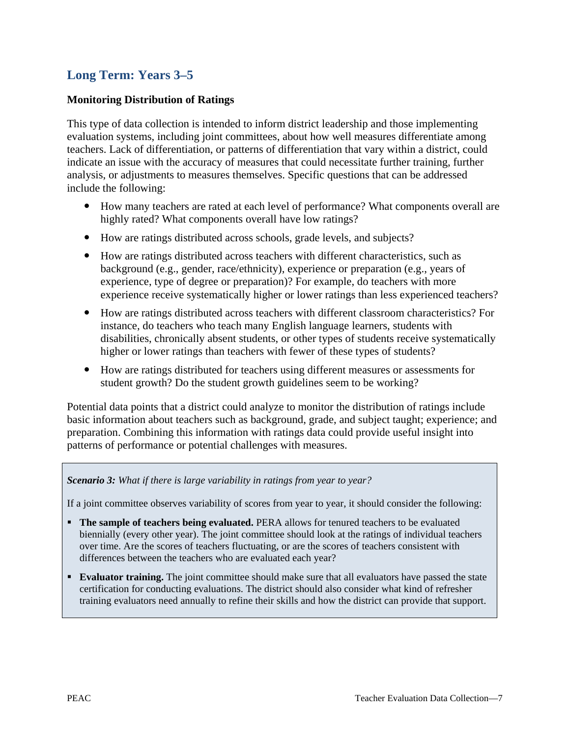### **Long Term: Years 3–5**

#### **Monitoring Distribution of Ratings**

This type of data collection is intended to inform district leadership and those implementing evaluation systems, including joint committees, about how well measures differentiate among teachers. Lack of differentiation, or patterns of differentiation that vary within a district, could indicate an issue with the accuracy of measures that could necessitate further training, further analysis, or adjustments to measures themselves. Specific questions that can be addressed include the following:

- How many teachers are rated at each level of performance? What components overall are highly rated? What components overall have low ratings?
- How are ratings distributed across schools, grade levels, and subjects?
- How are ratings distributed across teachers with different characteristics, such as background (e.g., gender, race/ethnicity), experience or preparation (e.g., years of experience, type of degree or preparation)? For example, do teachers with more experience receive systematically higher or lower ratings than less experienced teachers?
- How are ratings distributed across teachers with different classroom characteristics? For instance, do teachers who teach many English language learners, students with disabilities, chronically absent students, or other types of students receive systematically higher or lower ratings than teachers with fewer of these types of students?
- How are ratings distributed for teachers using different measures or assessments for student growth? Do the student growth guidelines seem to be working?

Potential data points that a district could analyze to monitor the distribution of ratings include basic information about teachers such as background, grade, and subject taught; experience; and preparation. Combining this information with ratings data could provide useful insight into patterns of performance or potential challenges with measures.

#### *Scenario 3: What if there is large variability in ratings from year to year?*

If a joint committee observes variability of scores from year to year, it should consider the following:

- **The sample of teachers being evaluated.** PERA allows for tenured teachers to be evaluated biennially (every other year). The joint committee should look at the ratings of individual teachers over time. Are the scores of teachers fluctuating, or are the scores of teachers consistent with differences between the teachers who are evaluated each year?
- **Evaluator training.** The joint committee should make sure that all evaluators have passed the state certification for conducting evaluations. The district should also consider what kind of refresher training evaluators need annually to refine their skills and how the district can provide that support.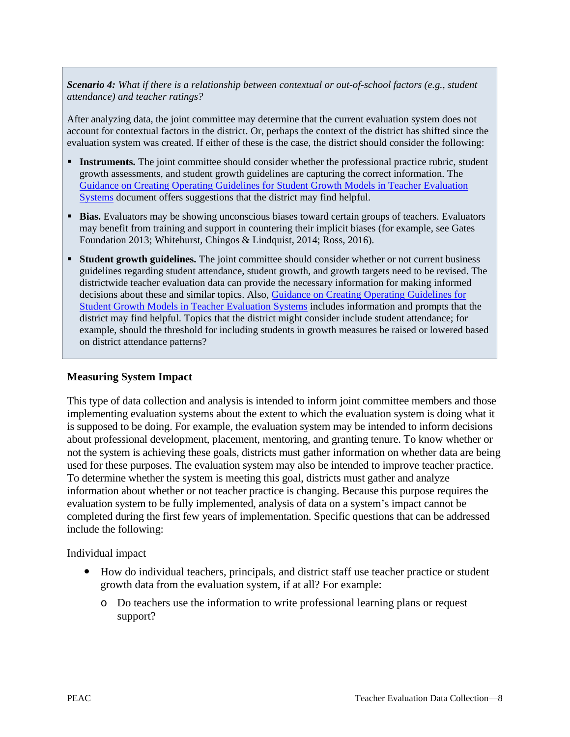*Scenario 4: What if there is a relationship between contextual or out-of-school factors (e.g., student attendance) and teacher ratings?*

After analyzing data, the joint committee may determine that the current evaluation system does not account for contextual factors in the district. Or, perhaps the context of the district has shifted since the evaluation system was created. If either of these is the case, the district should consider the following:

- **Instruments.** The joint committee should consider whether the professional practice rubric, student growth assessments, and student growth guidelines are capturing the correct information. The [Guidance on Creating Operating Guidelines for Student Growth Models in Teacher Evaluation](http://www.isbe.net/peac/pdf/guidance/13-10-te-op-gdlns-sgm.pdf)  [Systems](http://www.isbe.net/peac/pdf/guidance/13-10-te-op-gdlns-sgm.pdf) document offers suggestions that the district may find helpful.
- **Bias.** Evaluators may be showing unconscious biases toward certain groups of teachers. Evaluators may benefit from training and support in countering their implicit biases (for example, see Gates Foundation 2013; Whitehurst, Chingos & Lindquist, 2014; Ross, 2016).
- **Student growth guidelines.** The joint committee should consider whether or not current business guidelines regarding student attendance, student growth, and growth targets need to be revised. The districtwide teacher evaluation data can provide the necessary information for making informed decisions about these and similar topics. Also, [Guidance on Creating Operating Guidelines for](http://www.isbe.net/peac/pdf/guidance/13-10-te-op-gdlns-sgm.pdf)  [Student Growth Models in Teacher Evaluation Systems](http://www.isbe.net/peac/pdf/guidance/13-10-te-op-gdlns-sgm.pdf) includes information and prompts that the district may find helpful. Topics that the district might consider include student attendance; for example, should the threshold for including students in growth measures be raised or lowered based on district attendance patterns?

#### **Measuring System Impact**

This type of data collection and analysis is intended to inform joint committee members and those implementing evaluation systems about the extent to which the evaluation system is doing what it is supposed to be doing. For example, the evaluation system may be intended to inform decisions about professional development, placement, mentoring, and granting tenure. To know whether or not the system is achieving these goals, districts must gather information on whether data are being used for these purposes. The evaluation system may also be intended to improve teacher practice. To determine whether the system is meeting this goal, districts must gather and analyze information about whether or not teacher practice is changing. Because this purpose requires the evaluation system to be fully implemented, analysis of data on a system's impact cannot be completed during the first few years of implementation. Specific questions that can be addressed include the following:

Individual impact

- How do individual teachers, principals, and district staff use teacher practice or student growth data from the evaluation system, if at all? For example:
	- o Do teachers use the information to write professional learning plans or request support?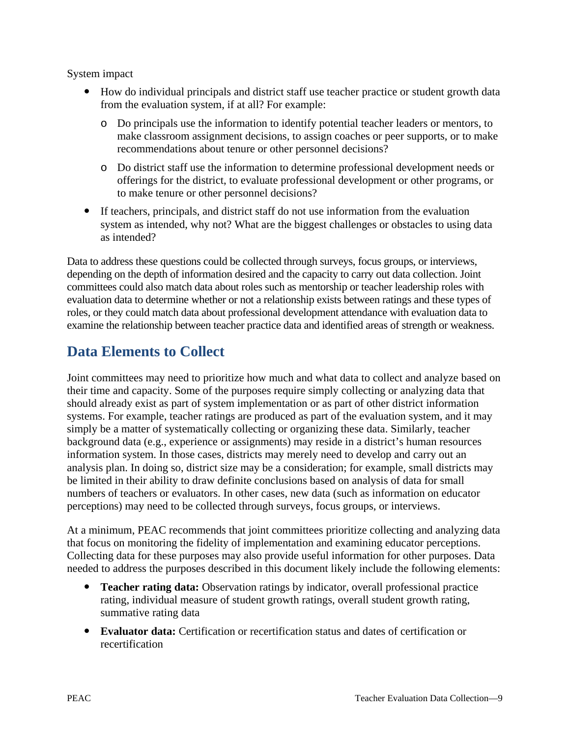System impact

- How do individual principals and district staff use teacher practice or student growth data from the evaluation system, if at all? For example:
	- o Do principals use the information to identify potential teacher leaders or mentors, to make classroom assignment decisions, to assign coaches or peer supports, or to make recommendations about tenure or other personnel decisions?
	- o Do district staff use the information to determine professional development needs or offerings for the district, to evaluate professional development or other programs, or to make tenure or other personnel decisions?
- If teachers, principals, and district staff do not use information from the evaluation system as intended, why not? What are the biggest challenges or obstacles to using data as intended?

Data to address these questions could be collected through surveys, focus groups, or interviews, depending on the depth of information desired and the capacity to carry out data collection. Joint committees could also match data about roles such as mentorship or teacher leadership roles with evaluation data to determine whether or not a relationship exists between ratings and these types of roles, or they could match data about professional development attendance with evaluation data to examine the relationship between teacher practice data and identified areas of strength or weakness.

## **Data Elements to Collect**

Joint committees may need to prioritize how much and what data to collect and analyze based on their time and capacity. Some of the purposes require simply collecting or analyzing data that should already exist as part of system implementation or as part of other district information systems. For example, teacher ratings are produced as part of the evaluation system, and it may simply be a matter of systematically collecting or organizing these data. Similarly, teacher background data (e.g., experience or assignments) may reside in a district's human resources information system. In those cases, districts may merely need to develop and carry out an analysis plan. In doing so, district size may be a consideration; for example, small districts may be limited in their ability to draw definite conclusions based on analysis of data for small numbers of teachers or evaluators. In other cases, new data (such as information on educator perceptions) may need to be collected through surveys, focus groups, or interviews.

At a minimum, PEAC recommends that joint committees prioritize collecting and analyzing data that focus on monitoring the fidelity of implementation and examining educator perceptions. Collecting data for these purposes may also provide useful information for other purposes. Data needed to address the purposes described in this document likely include the following elements:

- **Teacher rating data:** Observation ratings by indicator, overall professional practice rating, individual measure of student growth ratings, overall student growth rating, summative rating data
- **Evaluator data:** Certification or recertification status and dates of certification or recertification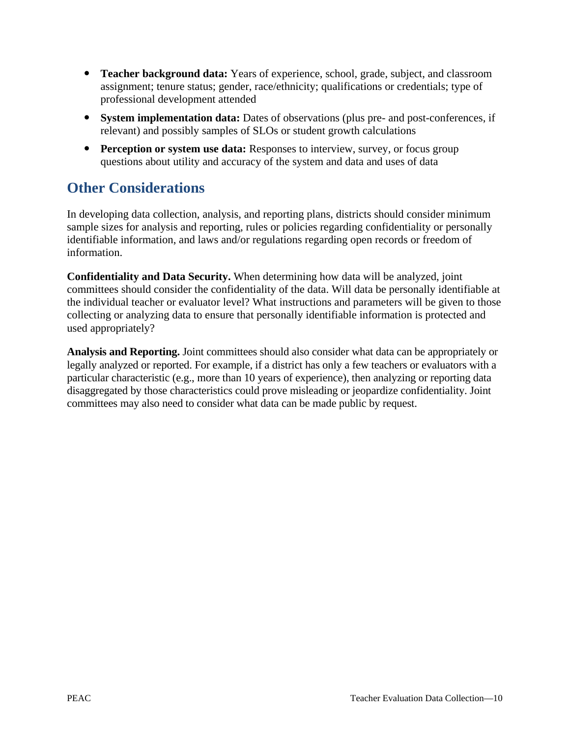- **Teacher background data:** Years of experience, school, grade, subject, and classroom assignment; tenure status; gender, race/ethnicity; qualifications or credentials; type of professional development attended
- **System implementation data:** Dates of observations (plus pre- and post-conferences, if relevant) and possibly samples of SLOs or student growth calculations
- **Perception or system use data:** Responses to interview, survey, or focus group questions about utility and accuracy of the system and data and uses of data

## **Other Considerations**

In developing data collection, analysis, and reporting plans, districts should consider minimum sample sizes for analysis and reporting, rules or policies regarding confidentiality or personally identifiable information, and laws and/or regulations regarding open records or freedom of information.

**Confidentiality and Data Security.** When determining how data will be analyzed, joint committees should consider the confidentiality of the data. Will data be personally identifiable at the individual teacher or evaluator level? What instructions and parameters will be given to those collecting or analyzing data to ensure that personally identifiable information is protected and used appropriately?

**Analysis and Reporting.** Joint committees should also consider what data can be appropriately or legally analyzed or reported. For example, if a district has only a few teachers or evaluators with a particular characteristic (e.g., more than 10 years of experience), then analyzing or reporting data disaggregated by those characteristics could prove misleading or jeopardize confidentiality. Joint committees may also need to consider what data can be made public by request.